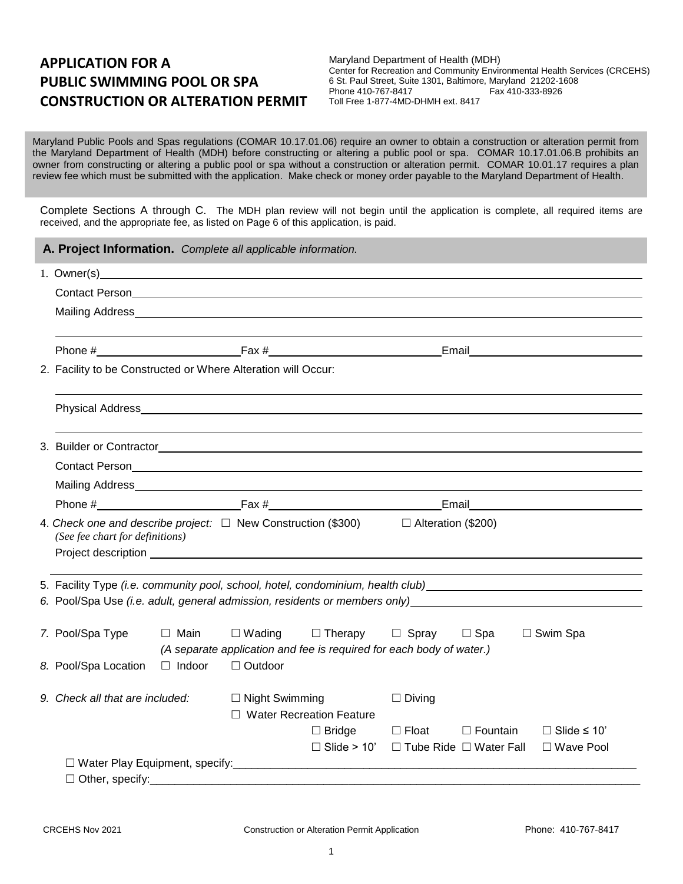# **APPLICATION FOR A PUBLIC SWIMMING POOL OR SPA CONSTRUCTION OR ALTERATION PERMIT**

Maryland Department of Health (MDH) Center for Recreation and Community Environmental Health Services (CRCEHS) 6 St. Paul Street, Suite 1301, Baltimore, Maryland 21202-1608 Phone 410-767-8417 Toll Free 1-877-4MD-DHMH ext. 8417

Maryland Public Pools and Spas regulations (COMAR 10.17.01.06) require an owner to obtain a construction or alteration permit from the Maryland Department of Health (MDH) before constructing or altering a public pool or spa. COMAR 10.17.01.06.B prohibits an owner from constructing or altering a public pool or spa without a construction or alteration permit. COMAR 10.01.17 requires a plan review fee which must be submitted with the application. Make check or money order payable to the Maryland Department of Health.

Complete Sections A through C. The MDH plan review will not begin until the application is complete, all required items are received, and the appropriate fee, as listed on Page 6 of this application, is paid.

|                                                                                                                                       | A. Project Information. Complete all applicable information.                                                                                                  |               |                                                     |                                                                      |                                                       |                 |                                                                                                               |
|---------------------------------------------------------------------------------------------------------------------------------------|---------------------------------------------------------------------------------------------------------------------------------------------------------------|---------------|-----------------------------------------------------|----------------------------------------------------------------------|-------------------------------------------------------|-----------------|---------------------------------------------------------------------------------------------------------------|
| 1. Owner(s)<br><u> 1989 - Johann Stoff, deutscher Stoffen und der Stoffen und der Stoffen und der Stoffen und der Stoffen und der</u> |                                                                                                                                                               |               |                                                     |                                                                      |                                                       |                 |                                                                                                               |
|                                                                                                                                       |                                                                                                                                                               |               |                                                     |                                                                      |                                                       |                 |                                                                                                               |
|                                                                                                                                       |                                                                                                                                                               |               |                                                     |                                                                      |                                                       |                 |                                                                                                               |
|                                                                                                                                       |                                                                                                                                                               |               |                                                     |                                                                      |                                                       |                 |                                                                                                               |
|                                                                                                                                       | Phone $\#$ Eax $\#$ Eax $\#$                                                                                                                                  |               |                                                     |                                                                      |                                                       |                 | Email and the contract of the contract of the contract of the contract of the contract of the contract of the |
|                                                                                                                                       | 2. Facility to be Constructed or Where Alteration will Occur:                                                                                                 |               |                                                     |                                                                      |                                                       |                 |                                                                                                               |
|                                                                                                                                       |                                                                                                                                                               |               |                                                     |                                                                      |                                                       |                 |                                                                                                               |
|                                                                                                                                       |                                                                                                                                                               |               |                                                     |                                                                      |                                                       |                 |                                                                                                               |
|                                                                                                                                       |                                                                                                                                                               |               |                                                     |                                                                      |                                                       |                 |                                                                                                               |
|                                                                                                                                       |                                                                                                                                                               |               |                                                     |                                                                      |                                                       |                 |                                                                                                               |
|                                                                                                                                       |                                                                                                                                                               |               |                                                     |                                                                      |                                                       |                 |                                                                                                               |
|                                                                                                                                       | 4. Check one and describe project: $\Box$ New Construction (\$300) $\Box$ Alteration (\$200)<br>(See fee chart for definitions)                               |               |                                                     |                                                                      |                                                       |                 |                                                                                                               |
|                                                                                                                                       |                                                                                                                                                               |               |                                                     |                                                                      |                                                       |                 |                                                                                                               |
|                                                                                                                                       | 5. Facility Type (i.e. community pool, school, hotel, condominium, health club)<br>6. Pool/Spa Use (i.e. adult, general admission, residents or members only) |               |                                                     |                                                                      |                                                       |                 |                                                                                                               |
|                                                                                                                                       |                                                                                                                                                               |               |                                                     |                                                                      |                                                       |                 |                                                                                                               |
|                                                                                                                                       | 7. Pool/Spa Type                                                                                                                                              | □ Main        | $\Box$ Wading                                       | $\Box$ Therapy $\Box$ Spray                                          |                                                       | ⊟ Spa           | $\Box$ Swim Spa                                                                                               |
|                                                                                                                                       |                                                                                                                                                               |               |                                                     | (A separate application and fee is required for each body of water.) |                                                       |                 |                                                                                                               |
|                                                                                                                                       | 8. Pool/Spa Location                                                                                                                                          | $\Box$ Indoor | □ Outdoor                                           |                                                                      |                                                       |                 |                                                                                                               |
|                                                                                                                                       | 9. Check all that are included:                                                                                                                               |               | $\Box$ Night Swimming<br>□ Water Recreation Feature |                                                                      | $\Box$ Diving                                         |                 |                                                                                                               |
|                                                                                                                                       |                                                                                                                                                               |               |                                                     | $\Box$ Bridge                                                        | □ Float                                               | $\Box$ Fountain | $\Box$ Slide $\leq$ 10'                                                                                       |
|                                                                                                                                       |                                                                                                                                                               |               |                                                     |                                                                      | $\Box$ Slide > 10' $\Box$ Tube Ride $\Box$ Water Fall |                 | □ Wave Pool                                                                                                   |
|                                                                                                                                       |                                                                                                                                                               |               |                                                     |                                                                      |                                                       |                 |                                                                                                               |
|                                                                                                                                       | $\Box$ Other, specify:                                                                                                                                        |               |                                                     |                                                                      |                                                       |                 |                                                                                                               |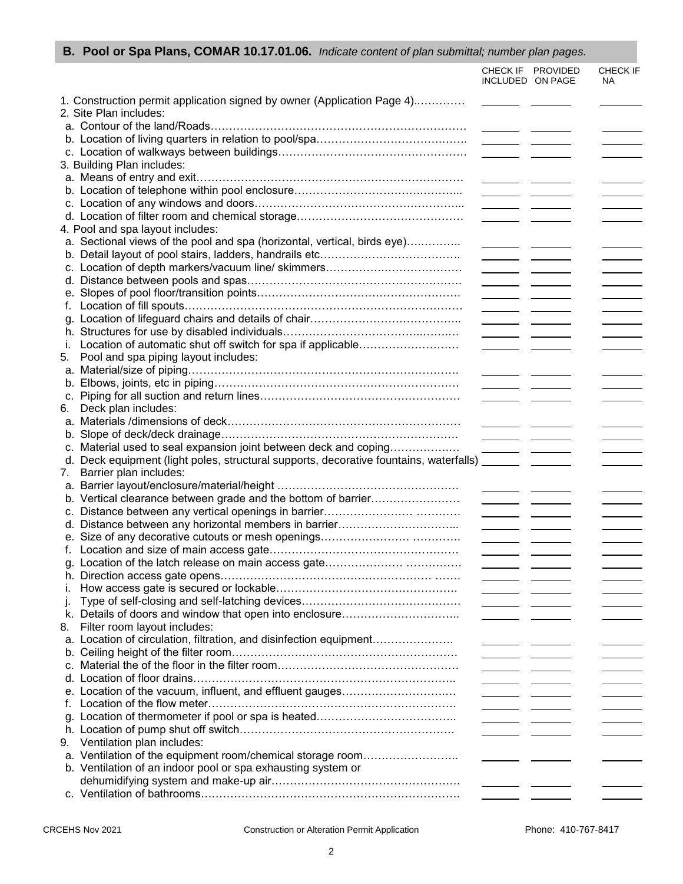| <b>B. Pool or Spa Plans, COMAR 10.17.01.06.</b> Indicate content of plan submittal; number plan pages. |                                                                                                                                                                                                                                                                                                                                                                                                                                                                                 |                   |                                   |
|--------------------------------------------------------------------------------------------------------|---------------------------------------------------------------------------------------------------------------------------------------------------------------------------------------------------------------------------------------------------------------------------------------------------------------------------------------------------------------------------------------------------------------------------------------------------------------------------------|-------------------|-----------------------------------|
|                                                                                                        | INCLUDED ON PAGE                                                                                                                                                                                                                                                                                                                                                                                                                                                                | CHECK IF PROVIDED | CHECK IF<br>NA                    |
| 1. Construction permit application signed by owner (Application Page 4)                                |                                                                                                                                                                                                                                                                                                                                                                                                                                                                                 |                   |                                   |
| 2. Site Plan includes:                                                                                 |                                                                                                                                                                                                                                                                                                                                                                                                                                                                                 |                   |                                   |
|                                                                                                        |                                                                                                                                                                                                                                                                                                                                                                                                                                                                                 |                   |                                   |
|                                                                                                        |                                                                                                                                                                                                                                                                                                                                                                                                                                                                                 |                   |                                   |
|                                                                                                        |                                                                                                                                                                                                                                                                                                                                                                                                                                                                                 |                   |                                   |
| 3. Building Plan includes:                                                                             |                                                                                                                                                                                                                                                                                                                                                                                                                                                                                 |                   |                                   |
|                                                                                                        |                                                                                                                                                                                                                                                                                                                                                                                                                                                                                 |                   |                                   |
|                                                                                                        |                                                                                                                                                                                                                                                                                                                                                                                                                                                                                 |                   | the contract of the contract of   |
|                                                                                                        | $\frac{1}{2}$ and $\frac{1}{2}$ and $\frac{1}{2}$ and $\frac{1}{2}$                                                                                                                                                                                                                                                                                                                                                                                                             |                   |                                   |
|                                                                                                        |                                                                                                                                                                                                                                                                                                                                                                                                                                                                                 |                   | <u> 1999 - John Barnett</u>       |
| 4. Pool and spa layout includes:                                                                       |                                                                                                                                                                                                                                                                                                                                                                                                                                                                                 |                   |                                   |
| a. Sectional views of the pool and spa (horizontal, vertical, birds eye)                               |                                                                                                                                                                                                                                                                                                                                                                                                                                                                                 |                   |                                   |
|                                                                                                        |                                                                                                                                                                                                                                                                                                                                                                                                                                                                                 |                   |                                   |
|                                                                                                        | $\frac{1}{2}$ and $\frac{1}{2}$ and $\frac{1}{2}$ and $\frac{1}{2}$                                                                                                                                                                                                                                                                                                                                                                                                             |                   |                                   |
|                                                                                                        |                                                                                                                                                                                                                                                                                                                                                                                                                                                                                 |                   |                                   |
|                                                                                                        |                                                                                                                                                                                                                                                                                                                                                                                                                                                                                 |                   |                                   |
|                                                                                                        |                                                                                                                                                                                                                                                                                                                                                                                                                                                                                 |                   | the contract of the contract of   |
|                                                                                                        |                                                                                                                                                                                                                                                                                                                                                                                                                                                                                 |                   |                                   |
|                                                                                                        |                                                                                                                                                                                                                                                                                                                                                                                                                                                                                 |                   | <b>Contract Contract Contract</b> |
|                                                                                                        |                                                                                                                                                                                                                                                                                                                                                                                                                                                                                 |                   | <u> 1989 - Andrea Sta</u>         |
| Location of automatic shut off switch for spa if applicable<br>i.                                      |                                                                                                                                                                                                                                                                                                                                                                                                                                                                                 |                   |                                   |
| Pool and spa piping layout includes:<br>5.                                                             |                                                                                                                                                                                                                                                                                                                                                                                                                                                                                 |                   |                                   |
|                                                                                                        |                                                                                                                                                                                                                                                                                                                                                                                                                                                                                 |                   |                                   |
|                                                                                                        | $\overline{\phantom{a}}$ $\overline{\phantom{a}}$ $\overline{\phantom{a}}$ $\overline{\phantom{a}}$ $\overline{\phantom{a}}$ $\overline{\phantom{a}}$ $\overline{\phantom{a}}$ $\overline{\phantom{a}}$ $\overline{\phantom{a}}$ $\overline{\phantom{a}}$ $\overline{\phantom{a}}$ $\overline{\phantom{a}}$ $\overline{\phantom{a}}$ $\overline{\phantom{a}}$ $\overline{\phantom{a}}$ $\overline{\phantom{a}}$ $\overline{\phantom{a}}$ $\overline{\phantom{a}}$ $\overline{\$ |                   |                                   |
|                                                                                                        |                                                                                                                                                                                                                                                                                                                                                                                                                                                                                 |                   |                                   |
| Deck plan includes:<br>6.                                                                              |                                                                                                                                                                                                                                                                                                                                                                                                                                                                                 |                   |                                   |
|                                                                                                        |                                                                                                                                                                                                                                                                                                                                                                                                                                                                                 |                   |                                   |
|                                                                                                        |                                                                                                                                                                                                                                                                                                                                                                                                                                                                                 |                   |                                   |
| Material used to seal expansion joint between deck and coping<br>C.                                    |                                                                                                                                                                                                                                                                                                                                                                                                                                                                                 |                   | the contract of the contract of   |
| d. Deck equipment (light poles, structural supports, decorative fountains, waterfalls)                 |                                                                                                                                                                                                                                                                                                                                                                                                                                                                                 |                   |                                   |
| Barrier plan includes:<br>7.                                                                           |                                                                                                                                                                                                                                                                                                                                                                                                                                                                                 |                   |                                   |
|                                                                                                        |                                                                                                                                                                                                                                                                                                                                                                                                                                                                                 |                   | <u>and the state of the state</u> |
| b. Vertical clearance between grade and the bottom of barrier                                          | $\frac{1}{2}$ and $\frac{1}{2}$ and $\frac{1}{2}$ and $\frac{1}{2}$                                                                                                                                                                                                                                                                                                                                                                                                             |                   | <u> 1980 - Andrea Sta</u>         |
|                                                                                                        | $\overline{\phantom{a}}$ . The set of $\overline{\phantom{a}}$                                                                                                                                                                                                                                                                                                                                                                                                                  |                   |                                   |
|                                                                                                        |                                                                                                                                                                                                                                                                                                                                                                                                                                                                                 |                   |                                   |
|                                                                                                        |                                                                                                                                                                                                                                                                                                                                                                                                                                                                                 |                   |                                   |
|                                                                                                        |                                                                                                                                                                                                                                                                                                                                                                                                                                                                                 |                   |                                   |
|                                                                                                        |                                                                                                                                                                                                                                                                                                                                                                                                                                                                                 |                   |                                   |
|                                                                                                        |                                                                                                                                                                                                                                                                                                                                                                                                                                                                                 |                   |                                   |
| h.                                                                                                     |                                                                                                                                                                                                                                                                                                                                                                                                                                                                                 |                   |                                   |
| Τ.                                                                                                     |                                                                                                                                                                                                                                                                                                                                                                                                                                                                                 |                   |                                   |
| Τ.                                                                                                     |                                                                                                                                                                                                                                                                                                                                                                                                                                                                                 |                   |                                   |
| k. Details of doors and window that open into enclosure                                                |                                                                                                                                                                                                                                                                                                                                                                                                                                                                                 |                   |                                   |
| Filter room layout includes:<br>8.                                                                     |                                                                                                                                                                                                                                                                                                                                                                                                                                                                                 |                   |                                   |
| a. Location of circulation, filtration, and disinfection equipment                                     |                                                                                                                                                                                                                                                                                                                                                                                                                                                                                 |                   |                                   |
|                                                                                                        |                                                                                                                                                                                                                                                                                                                                                                                                                                                                                 |                   |                                   |
|                                                                                                        |                                                                                                                                                                                                                                                                                                                                                                                                                                                                                 |                   | $\sim$ $\sim$ $\sim$              |
| d.                                                                                                     | <u> London Communica</u>                                                                                                                                                                                                                                                                                                                                                                                                                                                        |                   |                                   |
| e. Location of the vacuum, influent, and effluent gauges                                               |                                                                                                                                                                                                                                                                                                                                                                                                                                                                                 |                   |                                   |
|                                                                                                        |                                                                                                                                                                                                                                                                                                                                                                                                                                                                                 |                   |                                   |
|                                                                                                        |                                                                                                                                                                                                                                                                                                                                                                                                                                                                                 |                   |                                   |
|                                                                                                        |                                                                                                                                                                                                                                                                                                                                                                                                                                                                                 |                   |                                   |
| 9. Ventilation plan includes:                                                                          |                                                                                                                                                                                                                                                                                                                                                                                                                                                                                 |                   |                                   |
| a. Ventilation of the equipment room/chemical storage room                                             |                                                                                                                                                                                                                                                                                                                                                                                                                                                                                 |                   |                                   |
| b. Ventilation of an indoor pool or spa exhausting system or                                           |                                                                                                                                                                                                                                                                                                                                                                                                                                                                                 |                   |                                   |
|                                                                                                        |                                                                                                                                                                                                                                                                                                                                                                                                                                                                                 |                   |                                   |
|                                                                                                        |                                                                                                                                                                                                                                                                                                                                                                                                                                                                                 |                   |                                   |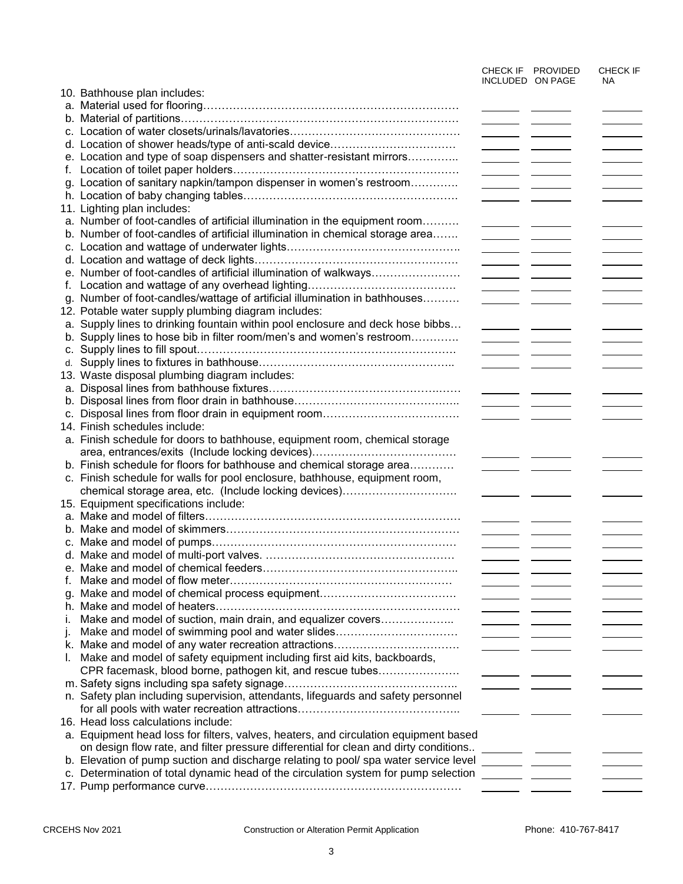|    |                                                                                                      | INCLUDED ON PAGE                                                                                                       | CHECK IF PROVIDED | CHECK IF<br><b>NA</b>             |
|----|------------------------------------------------------------------------------------------------------|------------------------------------------------------------------------------------------------------------------------|-------------------|-----------------------------------|
|    | 10. Bathhouse plan includes:                                                                         |                                                                                                                        |                   |                                   |
|    |                                                                                                      |                                                                                                                        |                   |                                   |
|    |                                                                                                      |                                                                                                                        |                   |                                   |
|    |                                                                                                      | <u> 1989 - Johann Barbara, martxa a shekara 19</u>                                                                     |                   |                                   |
|    |                                                                                                      |                                                                                                                        |                   |                                   |
|    | e. Location and type of soap dispensers and shatter-resistant mirrors                                |                                                                                                                        |                   |                                   |
| t. |                                                                                                      |                                                                                                                        |                   | <b>Contract Contract Contract</b> |
|    | g. Location of sanitary napkin/tampon dispenser in women's restroom                                  |                                                                                                                        |                   | $\overline{\phantom{a}}$          |
|    |                                                                                                      |                                                                                                                        |                   |                                   |
|    | 11. Lighting plan includes:                                                                          |                                                                                                                        |                   |                                   |
|    | a. Number of foot-candles of artificial illumination in the equipment room                           |                                                                                                                        |                   |                                   |
|    | b. Number of foot-candles of artificial illumination in chemical storage area                        | $\overline{\phantom{a}}$ and $\overline{\phantom{a}}$                                                                  |                   |                                   |
|    |                                                                                                      |                                                                                                                        |                   |                                   |
|    |                                                                                                      | $\overline{\phantom{a}}$ $\overline{\phantom{a}}$                                                                      |                   | <u>and the state of the state</u> |
|    | e. Number of foot-candles of artificial illumination of walkways                                     |                                                                                                                        |                   |                                   |
| t. |                                                                                                      |                                                                                                                        |                   |                                   |
|    | g. Number of foot-candles/wattage of artificial illumination in bathhouses                           |                                                                                                                        |                   |                                   |
|    | 12. Potable water supply plumbing diagram includes:                                                  |                                                                                                                        |                   |                                   |
|    | a. Supply lines to drinking fountain within pool enclosure and deck hose bibbs                       |                                                                                                                        |                   |                                   |
|    | b. Supply lines to hose bib in filter room/men's and women's restroom                                | <u> a shekara ta 1999 a shekara ta 1999 a shekara ta 1999 a shekara ta 1999 a shekara ta 1999 a shekara ta 1999 a </u> |                   |                                   |
|    |                                                                                                      |                                                                                                                        |                   |                                   |
|    |                                                                                                      |                                                                                                                        |                   |                                   |
|    | 13. Waste disposal plumbing diagram includes:                                                        |                                                                                                                        |                   |                                   |
|    |                                                                                                      |                                                                                                                        |                   |                                   |
|    |                                                                                                      |                                                                                                                        |                   |                                   |
|    |                                                                                                      |                                                                                                                        |                   |                                   |
|    | 14. Finish schedules include:                                                                        |                                                                                                                        |                   |                                   |
|    | a. Finish schedule for doors to bathhouse, equipment room, chemical storage                          |                                                                                                                        |                   |                                   |
|    |                                                                                                      |                                                                                                                        |                   |                                   |
|    | b. Finish schedule for floors for bathhouse and chemical storage area                                |                                                                                                                        |                   |                                   |
|    | c. Finish schedule for walls for pool enclosure, bathhouse, equipment room,                          |                                                                                                                        |                   |                                   |
|    | chemical storage area, etc. (Include locking devices)                                                |                                                                                                                        |                   |                                   |
|    | 15. Equipment specifications include:                                                                |                                                                                                                        |                   |                                   |
|    |                                                                                                      |                                                                                                                        |                   |                                   |
|    |                                                                                                      |                                                                                                                        |                   |                                   |
|    |                                                                                                      |                                                                                                                        |                   |                                   |
|    |                                                                                                      | $\overline{\phantom{a}}$ $\overline{\phantom{a}}$                                                                      |                   |                                   |
|    |                                                                                                      |                                                                                                                        |                   |                                   |
| t. |                                                                                                      |                                                                                                                        |                   |                                   |
|    |                                                                                                      |                                                                                                                        |                   |                                   |
|    |                                                                                                      |                                                                                                                        |                   |                                   |
| İ. | Make and model of suction, main drain, and equalizer covers                                          |                                                                                                                        |                   |                                   |
| j. | Make and model of swimming pool and water slides                                                     |                                                                                                                        |                   |                                   |
|    |                                                                                                      |                                                                                                                        |                   |                                   |
| L. | Make and model of safety equipment including first aid kits, backboards,                             |                                                                                                                        |                   |                                   |
|    | CPR facemask, blood borne, pathogen kit, and rescue tubes                                            |                                                                                                                        |                   |                                   |
|    |                                                                                                      |                                                                                                                        |                   |                                   |
|    | n. Safety plan including supervision, attendants, lifeguards and safety personnel                    |                                                                                                                        |                   |                                   |
|    |                                                                                                      |                                                                                                                        |                   |                                   |
|    | 16. Head loss calculations include:                                                                  |                                                                                                                        |                   |                                   |
|    | a. Equipment head loss for filters, valves, heaters, and circulation equipment based                 |                                                                                                                        |                   |                                   |
|    |                                                                                                      |                                                                                                                        |                   |                                   |
|    | b. Elevation of pump suction and discharge relating to pool/ spa water service level _______ _______ |                                                                                                                        |                   |                                   |
|    |                                                                                                      |                                                                                                                        |                   |                                   |
|    |                                                                                                      |                                                                                                                        |                   |                                   |
|    |                                                                                                      |                                                                                                                        |                   |                                   |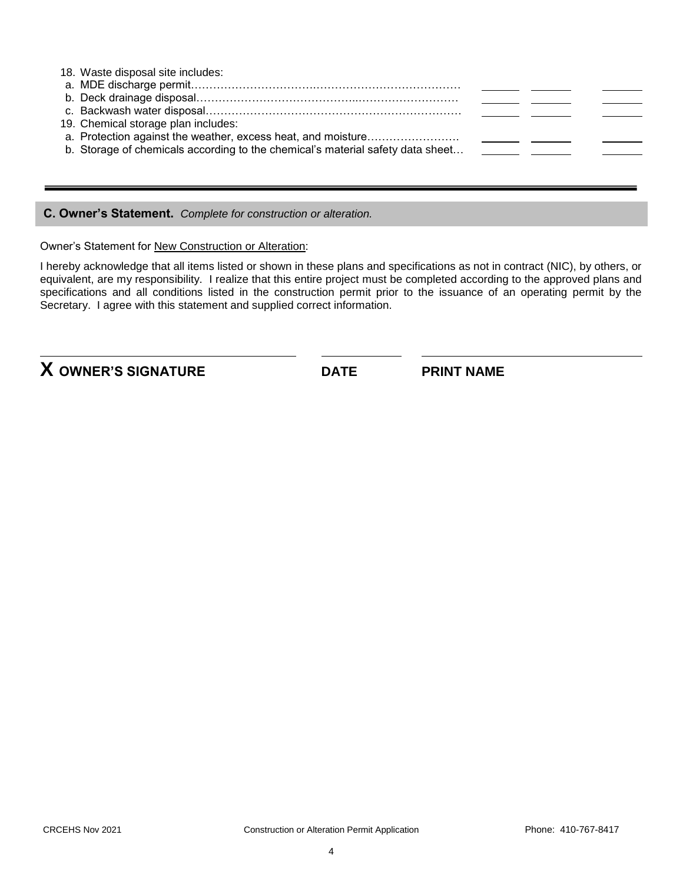| 18. Waste disposal site includes:                                              |  |  |
|--------------------------------------------------------------------------------|--|--|
|                                                                                |  |  |
|                                                                                |  |  |
|                                                                                |  |  |
| 19. Chemical storage plan includes:                                            |  |  |
|                                                                                |  |  |
| b. Storage of chemicals according to the chemical's material safety data sheet |  |  |
|                                                                                |  |  |
|                                                                                |  |  |

**C. Owner's Statement.** *Complete for construction or alteration.*

Owner's Statement for New Construction or Alteration:

I hereby acknowledge that all items listed or shown in these plans and specifications as not in contract (NIC), by others, or equivalent, are my responsibility. I realize that this entire project must be completed according to the approved plans and specifications and all conditions listed in the construction permit prior to the issuance of an operating permit by the Secretary. I agree with this statement and supplied correct information.

**X OWNER'S SIGNATURE DATE PRINT NAME**

l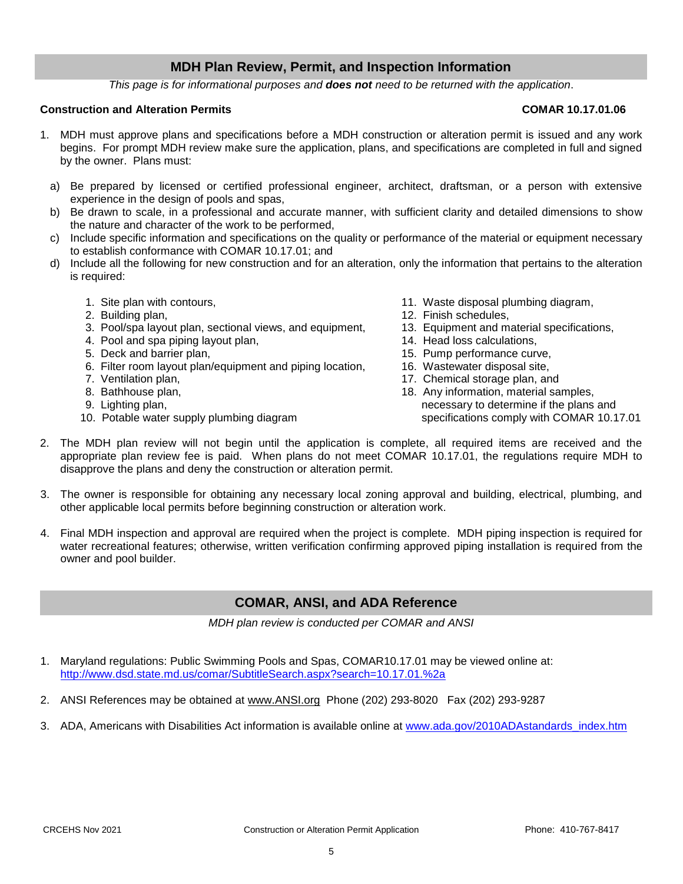## **MDH Plan Review, Permit, and Inspection Information**

*This page is for informational purposes and does not need to be returned with the application*.

#### **Construction and Alteration Permits COMAR 10.17.01.06**

- 1. MDH must approve plans and specifications before a MDH construction or alteration permit is issued and any work begins. For prompt MDH review make sure the application, plans, and specifications are completed in full and signed by the owner. Plans must:
	- a) Be prepared by licensed or certified professional engineer, architect, draftsman, or a person with extensive experience in the design of pools and spas,
	- b) Be drawn to scale, in a professional and accurate manner, with sufficient clarity and detailed dimensions to show the nature and character of the work to be performed,
	- c) Include specific information and specifications on the quality or performance of the material or equipment necessary to establish conformance with COMAR 10.17.01; and
	- d) Include all the following for new construction and for an alteration, only the information that pertains to the alteration is required:
		-
		-
		- 2. Building plan,<br>
		2. Finish schedules,<br>
		3. Pool/spa layout plan, sectional views, and equipment, 13. Equipment and material specifications, 3. Pool/spa layout plan, sectional views, and equipment,
		- 4. Pool and spa piping layout plan, 14. Head loss calculations,
		-
		- 6. Filter room layout plan/equipment and piping location, 16. Wastewater disposal site,
		-
		-
		-
		-
- 1. Site plan with contours, 11. Waste disposal plumbing diagram,
	-
	-
	-
- 5. Deck and barrier plan, 15. Pump performance curve,
	-
- 7. Ventilation plan, 17. Chemical storage plan, and
- 8. Bathhouse plan, 18. Any information, material samples, 9. Lighting plan, necessary to determine if the plans and 10. Potable water supply plumbing diagram supply specifications comply with COMAR 10.17.01
- 2. The MDH plan review will not begin until the application is complete, all required items are received and the appropriate plan review fee is paid. When plans do not meet COMAR 10.17.01, the regulations require MDH to disapprove the plans and deny the construction or alteration permit.
- 3. The owner is responsible for obtaining any necessary local zoning approval and building, electrical, plumbing, and other applicable local permits before beginning construction or alteration work.
- 4. Final MDH inspection and approval are required when the project is complete. MDH piping inspection is required for water recreational features; otherwise, written verification confirming approved piping installation is required from the owner and pool builder.

### **COMAR, ANSI, and ADA Reference**

*MDH plan review is conducted per COMAR and ANSI*

- 1. Maryland regulations: Public Swimming Pools and Spas, COMAR10.17.01 may be viewed online at: <http://www.dsd.state.md.us/comar/SubtitleSearch.aspx?search=10.17.01.%2a>
- 2. ANSI References may be obtained at [www.ANSI.org](http://www.ansi.org/) Phone (202) 293-8020 Fax (202) 293-9287
- 3. ADA, Americans with Disabilities Act information is available online at [www.ada.gov/2010ADAstandards\\_index.htm](http://www.ada.gov/2010ADAstandards_index.htm)